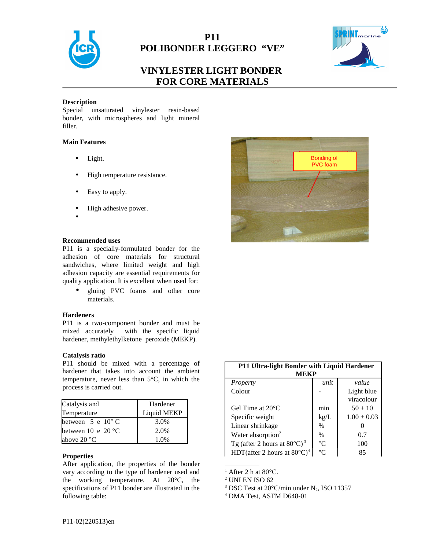

## **P11 POLIBONDER LEGGERO "VE"**



# **VINYLESTER LIGHT BONDER FOR CORE MATERIALS**

#### **Description**

Special unsaturated vinylester resin-based bonder, with microspheres and light mineral filler.

## **Main Features**

- Light.
- High temperature resistance.
- Easy to apply.
- High adhesive power.
- •

#### **Recommended uses**

P11 is a specially-formulated bonder for the adhesion of core materials for structural sandwiches, where limited weight and high adhesion capacity are essential requirements for quality application. It is excellent when used for:

• gluing PVC foams and other core materials.

#### **Hardeners**

P11 is a two-component bonder and must be mixed accurately with the specific liquid hardener, methylethylketone peroxide (MEKP).

#### **Catalysis ratio**

P11 should be mixed with a percentage of hardener that takes into account the ambient temperature, never less than 5°C, in which the process is carried out.

| Catalysis and                               | Hardener    |
|---------------------------------------------|-------------|
| Temperature                                 | Liquid MEKP |
| between $5 \text{ e } 10^{\circ} \text{ C}$ | 3.0%        |
| between 10 e 20 $^{\circ}$ C                | 2.0%        |
| above 20 °C                                 | 1.0%        |

### **Properties**

After application, the properties of the bonder vary according to the type of hardener used and the working temperature. At 20°C, the specifications of P11 bonder are illustrated in the following table:



| P11 Ultra-light Bonder with Liquid Hardener       |                 |                 |  |
|---------------------------------------------------|-----------------|-----------------|--|
| MEKP                                              |                 |                 |  |
| Property                                          | unit            | value           |  |
| Colour                                            |                 | Light blue      |  |
|                                                   |                 | viracolour      |  |
| Gel Time at $20^{\circ}$ C                        | min             | $50 \pm 10$     |  |
| Specific weight                                   | kg/L            | $1.00 \pm 0.03$ |  |
| Linear shrinkage <sup>1</sup>                     | $\frac{0}{0}$   |                 |  |
| Water absorption <sup>2</sup>                     | $\%$            | 0.7             |  |
| Tg (after 2 hours at $80^{\circ}$ C) <sup>3</sup> | $\rm ^{\circ}C$ | 100             |  |
| HDT(after 2 hours at $80^{\circ}$ C) <sup>4</sup> | $^{\circ}C$     | 85              |  |

 $<sup>1</sup>$  After 2 h at 80 $\rm ^{\circ}C$ .</sup>

<sup>2</sup> UNI EN ISO 62

<sup>&</sup>lt;sup>3</sup> DSC Test at 20 $\degree$ C/min under N<sub>2</sub>, ISO 11357

<sup>4</sup> DMA Test, ASTM D648-01